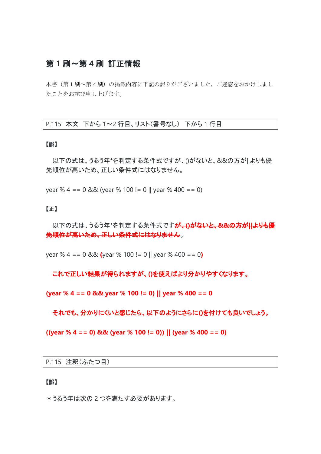## 第 **1** 刷~第 **4** 刷 訂正情報

本書(第1刷~第4刷)の掲載内容に下記の誤りがございました。ご迷惑をおかけしまし たことをお詫び申し上げます。

P.115 本文 下から 1~2 行目、リスト(番号なし) 下から 1 行目

#### 【誤】

以下の式は、うるう年\*を判定する条件式ですが、()がないと、&&の方が||よりも優 先順位が高いため、正しい条件式にはなりません。

year % 4 == 0 && (year % 100 != 0 || year % 400 == 0)

#### 【正】

以下の式は、うるう年\*を判定する条件式ですが、**()**がないと、**&&**の方が**||**よりも優 先順位が高いため、正しい条件式にはなりません。

year % 4 == 0 && **(**year % 100 != 0 || year % 400 == 0**)**

これで正しい結果が得られますが、**()**を使えばより分かりやすくなります。

**(year % 4 == 0 && year % 100 != 0) || year % 400 == 0**

それでも、分かりにくいと感じたら、以下のようにさらに**()**を付けても良いでしょう。

**((year % 4 == 0) && (year % 100 != 0)) || (year % 400 == 0)**

P.115 注釈(ふたつ目)

#### 【誤】

\*うるう年は次の 2 つを満たす必要があります。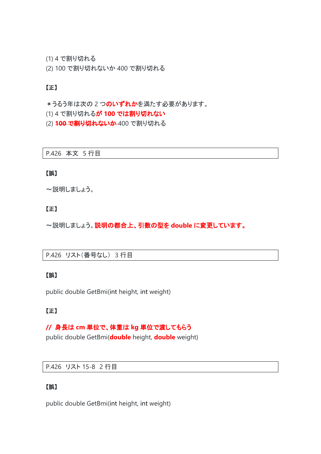(1) 4 で割り切れる

(2) 100 で割り切れないか 400 で割り切れる

#### 【正】

\*うるう年は次の2つのいずれかを満たす必要があります。

(1) 4 で割り切れるが **100** では割り切れない

(2) **100** で割り切れないか 400 で割り切れる

P.426 本文 5 行目

#### 【誤】

~説明しましょう。

#### 【正】

~説明しましょう。説明の都合上、引数の型を **double** に変更しています。

P.426 リスト(番号なし) 3 行目

#### 【誤】

public double GetBmi(int height, int weight)

#### 【正】

#### **//** 身長は **cm** 単位で、体重は **kg** 単位で渡してもらう

public double GetBmi(**double** height, **double** weight)

#### P.426 リスト 15-8 2 行目

### 【誤】

public double GetBmi(int height, int weight)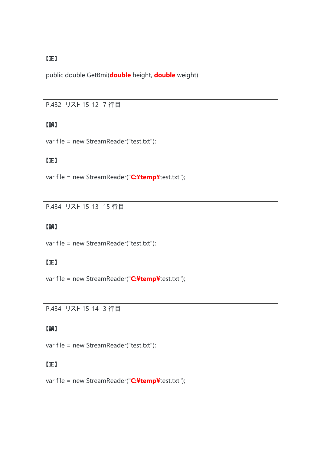### 【正】

public double GetBmi(**double** height, **double** weight)

#### P.432 リスト 15-12 7 行目

#### 【誤】

var file = new StreamReader("test.txt");

### 【正】

var file = new StreamReader("**C:¥temp¥**test.txt");

P.434 リスト 15-13 15 行目

#### 【誤】

var file = new StreamReader("test.txt");

### 【正】

var file = new StreamReader("**C:¥temp¥**test.txt");

P.434 リスト 15-14 3 行目

### 【誤】

var file = new StreamReader("test.txt");

### 【正】

var file = new StreamReader("**C:¥temp¥**test.txt");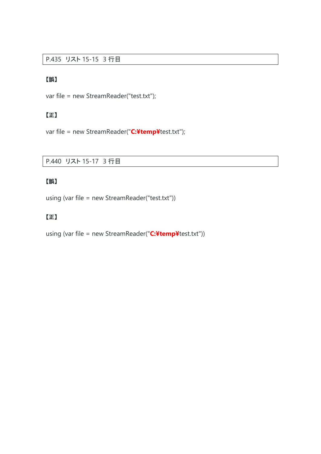#### P.435 リスト 15-15 3 行目

### 【誤】

var file = new StreamReader("test.txt");

## 【正】

var file = new StreamReader("**C:¥temp¥**test.txt");

### P.440 リスト 15-17 3 行目

## 【誤】

using (var file = new StreamReader("test.txt"))

## 【正】

using (var file = new StreamReader("**C:¥temp¥**test.txt"))